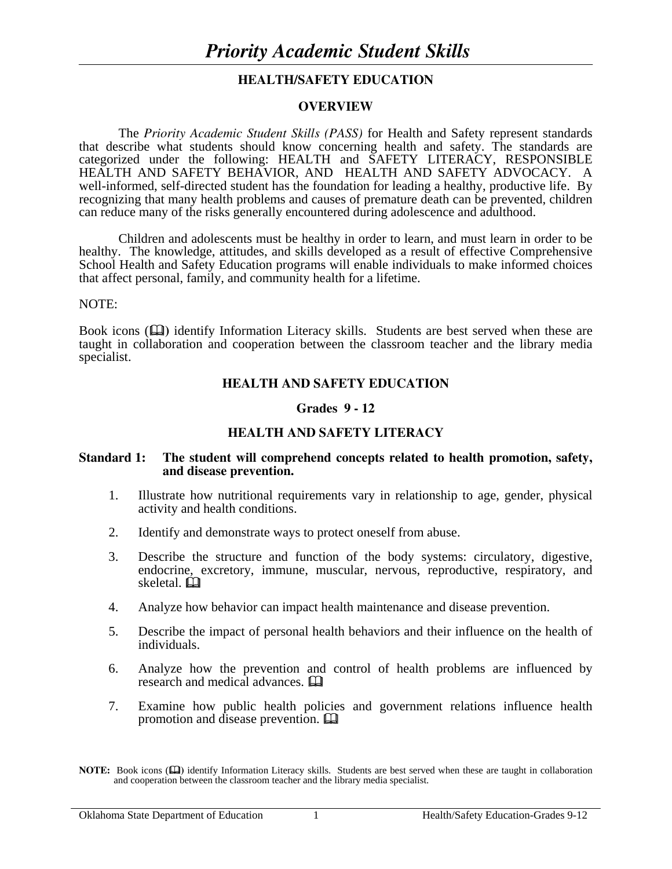### **HEALTH/SAFETY EDUCATION**

#### **OVERVIEW**

The *Priority Academic Student Skills (PASS)* for Health and Safety represent standards that describe what students should know concerning health and safety. The standards are categorized under the following: HEALTH and SAFETY LITERACY, RESPONSIBLE HEALTH AND SAFETY BEHAVIOR, AND HEALTH AND SAFETY ADVOCACY. A well-informed, self-directed student has the foundation for leading a healthy, productive life. By recognizing that many health problems and causes of premature death can be prevented, children can reduce many of the risks generally encountered during adolescence and adulthood.

 Children and adolescents must be healthy in order to learn, and must learn in order to be healthy. The knowledge, attitudes, and skills developed as a result of effective Comprehensive School Health and Safety Education programs will enable individuals to make informed choices that affect personal, family, and community health for a lifetime.

#### NOTE:

Book icons ( $\Box$ ) identify Information Literacy skills. Students are best served when these are taught in collaboration and cooperation between the classroom teacher and the library media specialist.

## **HEALTH AND SAFETY EDUCATION**

#### **Grades 9 - 12**

### **HEALTH AND SAFETY LITERACY**

#### **Standard 1: The student will comprehend concepts related to health promotion, safety, and disease prevention.**

- 1. Illustrate how nutritional requirements vary in relationship to age, gender, physical activity and health conditions.
- 2. Identify and demonstrate ways to protect oneself from abuse.
- 3. Describe the structure and function of the body systems: circulatory, digestive, endocrine, excretory, immune, muscular, nervous, reproductive, respiratory, and skeletal.
- 4. Analyze how behavior can impact health maintenance and disease prevention.
- 5. Describe the impact of personal health behaviors and their influence on the health of individuals.
- 6. Analyze how the prevention and control of health problems are influenced by research and medical advances.
- 7. Examine how public health policies and government relations influence health promotion and disease prevention.

**NOTE:** Book icons ( $\Box$ ) identify Information Literacy skills. Students are best served when these are taught in collaboration and cooperation between the classroom teacher and the library media specialist.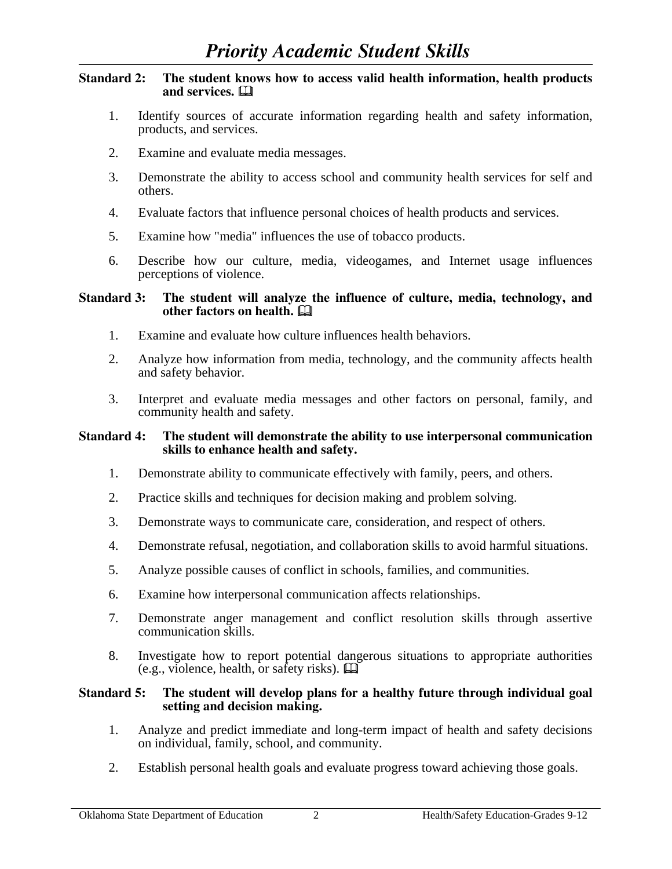#### **Standard 2: The student knows how to access valid health information, health products and services.**

- 1. Identify sources of accurate information regarding health and safety information, products, and services.
- 2. Examine and evaluate media messages.
- 3. Demonstrate the ability to access school and community health services for self and others.
- 4. Evaluate factors that influence personal choices of health products and services.
- 5. Examine how "media" influences the use of tobacco products.
- 6. Describe how our culture, media, videogames, and Internet usage influences perceptions of violence.

#### **Standard 3: The student will analyze the influence of culture, media, technology, and other factors on health.**

- 1. Examine and evaluate how culture influences health behaviors.
- 2. Analyze how information from media, technology, and the community affects health and safety behavior.
- 3. Interpret and evaluate media messages and other factors on personal, family, and community health and safety.

#### **Standard 4: The student will demonstrate the ability to use interpersonal communication skills to enhance health and safety.**

- 1. Demonstrate ability to communicate effectively with family, peers, and others.
- 2. Practice skills and techniques for decision making and problem solving.
- 3. Demonstrate ways to communicate care, consideration, and respect of others.
- 4. Demonstrate refusal, negotiation, and collaboration skills to avoid harmful situations.
- 5. Analyze possible causes of conflict in schools, families, and communities.
- 6. Examine how interpersonal communication affects relationships.
- 7. Demonstrate anger management and conflict resolution skills through assertive communication skills.
- 8. Investigate how to report potential dangerous situations to appropriate authorities (e.g., violence, health, or safety risks).  $\mathbf{\mathbf{\square}}$

#### **Standard 5: The student will develop plans for a healthy future through individual goal setting and decision making.**

- 1. Analyze and predict immediate and long-term impact of health and safety decisions on individual, family, school, and community.
- 2. Establish personal health goals and evaluate progress toward achieving those goals.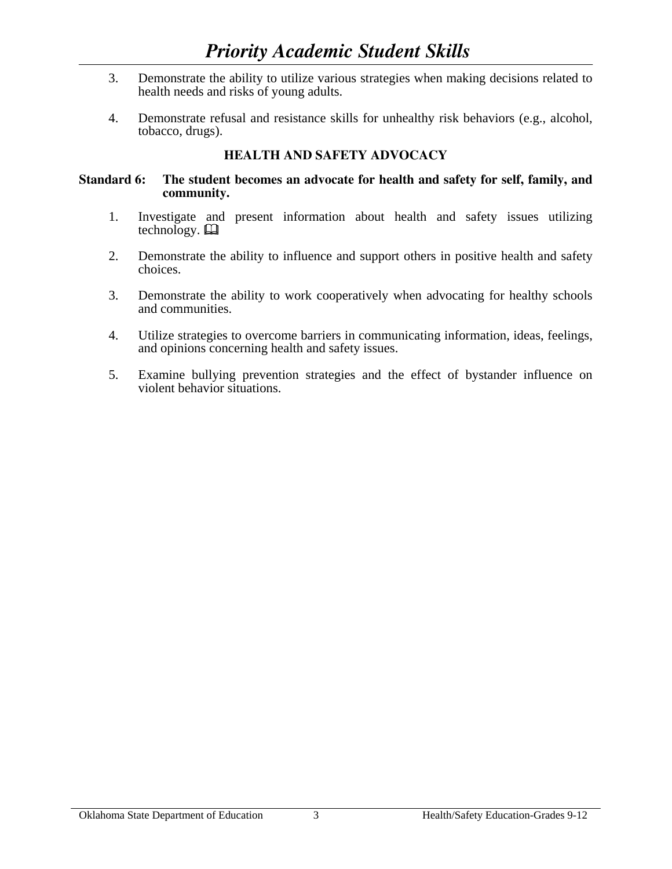- 3. Demonstrate the ability to utilize various strategies when making decisions related to health needs and risks of young adults.
- 4. Demonstrate refusal and resistance skills for unhealthy risk behaviors (e.g., alcohol, tobacco, drugs).

# **HEALTH AND SAFETY ADVOCACY**

#### **Standard 6: The student becomes an advocate for health and safety for self, family, and community.**

- 1. Investigate and present information about health and safety issues utilizing technology.  $\Box$
- 2. Demonstrate the ability to influence and support others in positive health and safety choices.
- 3. Demonstrate the ability to work cooperatively when advocating for healthy schools and communities.
- 4. Utilize strategies to overcome barriers in communicating information, ideas, feelings, and opinions concerning health and safety issues.
- 5. Examine bullying prevention strategies and the effect of bystander influence on violent behavior situations.